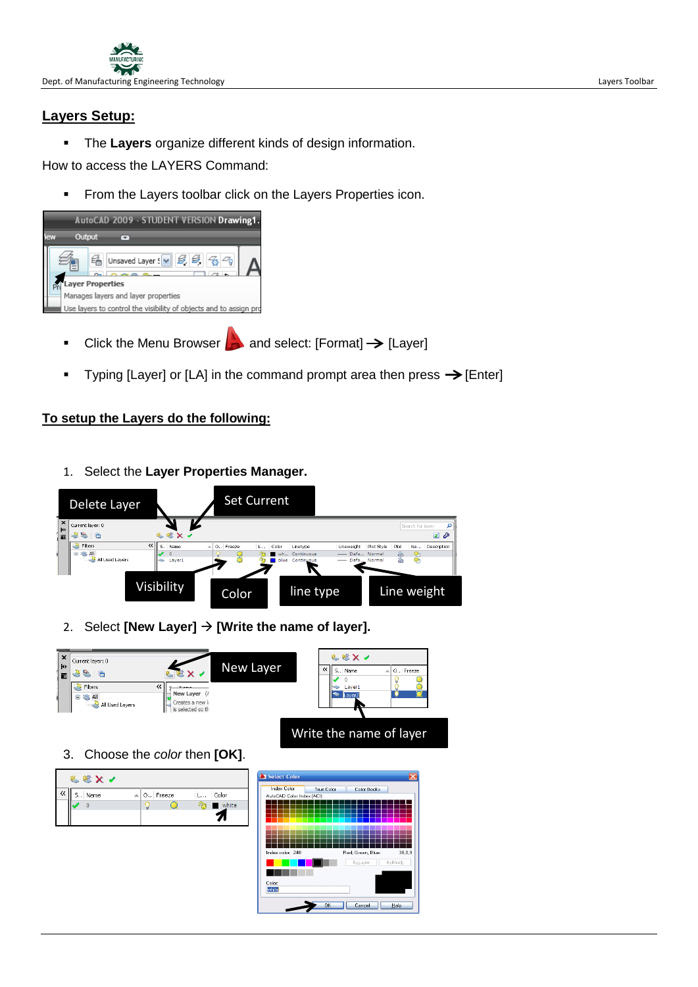

## **Layers Setup:**

The **Layers** organize different kinds of design information.

How to access the LAYERS Command:

**From the Layers toolbar click on the Layers Properties icon.** 



- Click the Menu Browser  $\Box$  and select: [Format]  $\rightarrow$  [Layer]
- Typing [Layer] or [LA] in the command prompt area then press  $\rightarrow$  [Enter]

## **To setup the Layers do the following:**

1. Select the **Layer Properties Manager.**



2. Select [New Layer]  $\rightarrow$  [Write the name of layer].



3. Choose the *color* then **[OK]**.

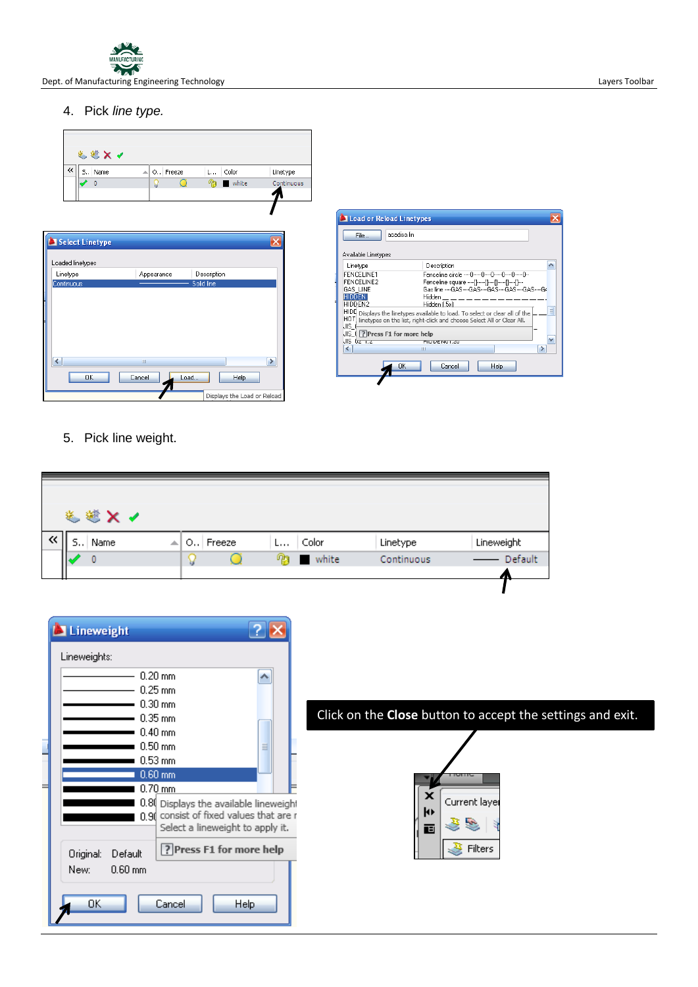

Dept. of Manufacturing Engineering Technology and the Company of Cases of Cases and Cayers Toolbar Layers Toolbar

4. Pick *line type.*



| acadiso.lin<br>File<br>Available Linetypes<br>Linetype<br>Description<br>Eenceline.circle00000<br>FENCELINE1<br>FENCELINE2<br>Fenceline square ----[1----[1----[1----[1----[1---<br>GAS LINE<br>Gas line ----GAS----GAS----GAS----GAS----GAS----GA<br><b>HIDDEN</b><br>Hidden<br>HIDDEN2<br>Hidden (.5x)<br>$\equiv$<br>HIDI Displays the linetypes available to load. To select or clear all of the<br>HOT linetypes on the list, right-click and choose Select All or Clear All.<br>IJIS (<br>JIS (7 Press F1 for more help<br>v<br>JIS dz <del>. c</del> z<br><b>DIVIDENUE ZU</b><br>$\left\langle \right\rangle$<br>Ш | Load or Reload Linetypes |  |  |  |  |  |  |
|---------------------------------------------------------------------------------------------------------------------------------------------------------------------------------------------------------------------------------------------------------------------------------------------------------------------------------------------------------------------------------------------------------------------------------------------------------------------------------------------------------------------------------------------------------------------------------------------------------------------------|--------------------------|--|--|--|--|--|--|
|                                                                                                                                                                                                                                                                                                                                                                                                                                                                                                                                                                                                                           |                          |  |  |  |  |  |  |
|                                                                                                                                                                                                                                                                                                                                                                                                                                                                                                                                                                                                                           |                          |  |  |  |  |  |  |
|                                                                                                                                                                                                                                                                                                                                                                                                                                                                                                                                                                                                                           |                          |  |  |  |  |  |  |
|                                                                                                                                                                                                                                                                                                                                                                                                                                                                                                                                                                                                                           |                          |  |  |  |  |  |  |
|                                                                                                                                                                                                                                                                                                                                                                                                                                                                                                                                                                                                                           |                          |  |  |  |  |  |  |
|                                                                                                                                                                                                                                                                                                                                                                                                                                                                                                                                                                                                                           |                          |  |  |  |  |  |  |
|                                                                                                                                                                                                                                                                                                                                                                                                                                                                                                                                                                                                                           |                          |  |  |  |  |  |  |
| OK<br>Cancel<br>Help                                                                                                                                                                                                                                                                                                                                                                                                                                                                                                                                                                                                      |                          |  |  |  |  |  |  |

5. Pick line weight.

| 选送× √      |   |            |   |            |            |            |
|------------|---|------------|---|------------|------------|------------|
| S.,   Name | ᆀ | O., Freeze | L | Color      | Linetype   | Lineweight |
|            |   |            |   | na ■ white | Continuous | Default    |
|            |   |            |   |            |            | т          |
|            |   |            |   |            |            |            |

| Lineweight                                                                                                                                                                             |                                                                 |
|----------------------------------------------------------------------------------------------------------------------------------------------------------------------------------------|-----------------------------------------------------------------|
| Lineweights:<br>$0.20 \text{ mm}$<br>$0.25$ mm<br>$0.30$ mm<br>$0.35$ mm<br>$0.40$ mm                                                                                                  | ۸<br>Click on the Close button to accept the settings and exit. |
| $0.50$ mm<br>$0.53 \text{ mm}$<br>$0.60$ mm<br>⊨<br>$0.70$ mm<br>0.80 Displays the available lineweight<br>0.90 consist of fixed values that are r<br>Select a lineweight to apply it. | Ξ<br>×<br>Current layer<br>k۱<br><b>Section</b><br>画            |
| ? Press F1 for more help<br>Original:<br>Default<br>$0.60$ mm<br>New:<br>OK<br>Cancel<br><b>Help</b>                                                                                   | æ.<br>Filters                                                   |